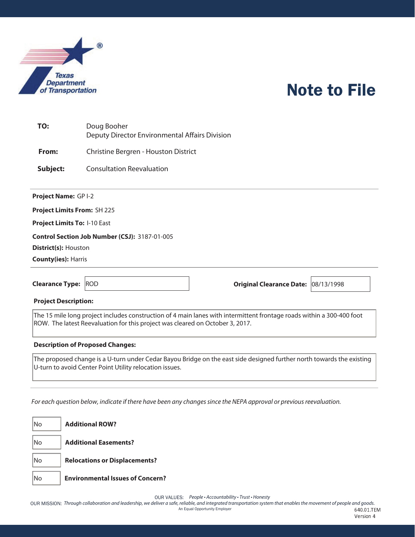

## Note to File

| TO: | Doug Booher<br>Deputy Director Environmental Affairs Division |
|-----|---------------------------------------------------------------|
|     |                                                               |

**From:** Christine Bergren - Houston District

**Subject:** Consultation Reevaluation

**Project Name:** GP I-2

**Project Limits From:** SH 225

**Project Limits To:** I-10 East

**Control Section Job Number (CSJ):** 3187-01-005

**District(s):** Houston

**County(ies):** Harris

**Clearance Type:** ROD **Original Clearance Date:** 08/13/1998

**Project Description:** 

The 15 mile long project includes construction of 4 main lanes with intermittent frontage roads within a 300-400 foot ROW. The latest Reevaluation for this project was cleared on October 3, 2017.

## **Description of Proposed Changes:**

The proposed change is a U-turn under Cedar Bayou Bridge on the east side designed further north towards the existing U-turn to avoid Center Point Utility relocation issues.

For each question below, indicate if there have been any changes since the NEPA approval or previous reevaluation.

No **Additional ROW?** No **Additional Easements?** No **Relocations or Displacements?** No **Environmental Issues of Concern?**

OUR VALUES: People • Accountability • Trust • Honesty

OUR MISSION: Through collaboration and leadership, we deliver a safe, reliable, and integrated transportation system that enables the movement of people and goods. An Equal Opportunity Employer ------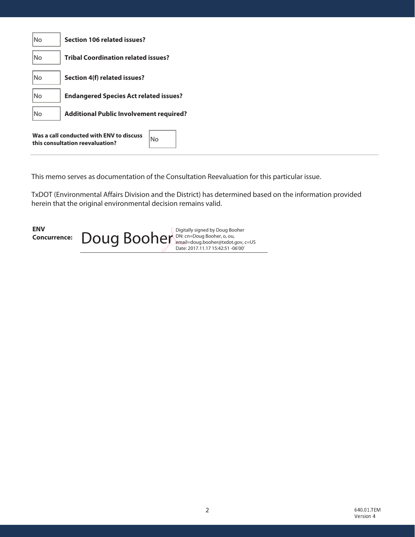| No                                                                                 | Section 106 related issues?                   |
|------------------------------------------------------------------------------------|-----------------------------------------------|
| No                                                                                 | <b>Tribal Coordination related issues?</b>    |
| No                                                                                 | Section 4(f) related issues?                  |
| No                                                                                 | <b>Endangered Species Act related issues?</b> |
| No<br><b>Additional Public Involvement required?</b>                               |                                               |
| Was a call conducted with ENV to discuss<br>No.<br>this consultation reevaluation? |                                               |

This memo serves as documentation of the Consultation Reevaluation for this particular issue.

TxDOT (Environmental Affairs Division and the District) has determined based on the information provided herein that the original environmental decision remains valid.